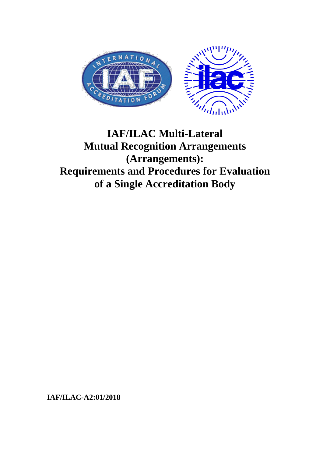

# **IAF/ILAC Multi-Lateral Mutual Recognition Arrangements (Arrangements): Requirements and Procedures for Evaluation of a Single Accreditation Body**

**IAF/ILAC-A2:01/2018**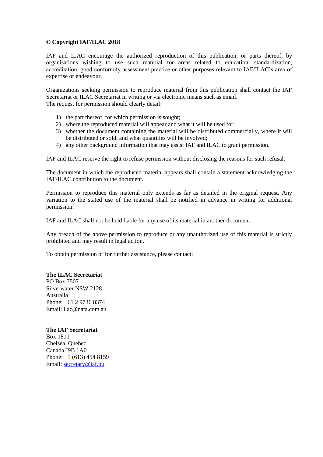# **© Copyright IAF/ILAC 2018**

IAF and ILAC encourage the authorized reproduction of this publication, or parts thereof, by organisations wishing to use such material for areas related to education, standardization, accreditation, good conformity assessment practice or other purposes relevant to IAF/ILAC's area of expertise or endeavour.

Organizations seeking permission to reproduce material from this publication shall contact the IAF Secretariat or ILAC Secretariat in writing or via electronic means such as email. The request for permission should clearly detail:

- 1) the part thereof, for which permission is sought;
- 2) where the reproduced material will appear and what it will be used for;
- 3) whether the document containing the material will be distributed commercially, where it will be distributed or sold, and what quantities will be involved;
- 4) any other background information that may assist IAF and ILAC to grant permission.

IAF and ILAC reserve the right to refuse permission without disclosing the reasons for such refusal.

The document in which the reproduced material appears shall contain a statement acknowledging the IAF/ILAC contribution to the document.

Permission to reproduce this material only extends as far as detailed in the original request. Any variation to the stated use of the material shall be notified in advance in writing for additional permission.

IAF and ILAC shall not be held liable for any use of its material in another document.

Any breach of the above permission to reproduce or any unauthorized use of this material is strictly prohibited and may result in legal action.

To obtain permission or for further assistance, please contact:

## **The ILAC Secretariat**

PO Box 7507 Silverwater NSW 2128 Australia Phone: +61 2 9736 8374 Email: ilac@nata.com.au

## **The IAF Secretariat**

Box 1811 Chelsea, Quebec Canada J9B 1A0 Phone: +1 (613) 454 8159 Email: [secretary@iaf.nu](mailto:secretary@iaf.nu)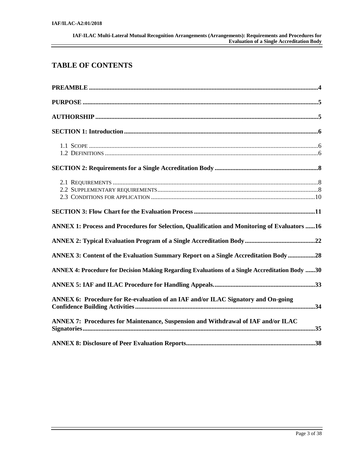# **TABLE OF CONTENTS**

| ANNEX 1: Process and Procedures for Selection, Qualification and Monitoring of Evaluators  16  |  |
|------------------------------------------------------------------------------------------------|--|
|                                                                                                |  |
| ANNEX 3: Content of the Evaluation Summary Report on a Single Accreditation Body28             |  |
| ANNEX 4: Procedure for Decision Making Regarding Evaluations of a Single Accreditation Body 30 |  |
|                                                                                                |  |
| ANNEX 6: Procedure for Re-evaluation of an IAF and/or ILAC Signatory and On-going              |  |
| ANNEX 7: Procedures for Maintenance, Suspension and Withdrawal of IAF and/or ILAC              |  |
|                                                                                                |  |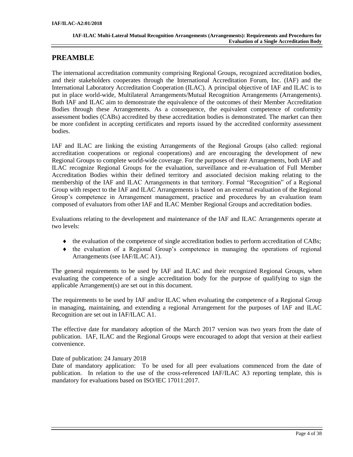# <span id="page-3-0"></span>**PREAMBLE**

The international accreditation community comprising Regional Groups, recognized accreditation bodies, and their stakeholders cooperates through the International Accreditation Forum, Inc. (IAF) and the International Laboratory Accreditation Cooperation (ILAC). A principal objective of IAF and ILAC is to put in place world-wide, Multilateral Arrangements/Mutual Recognition Arrangements (Arrangements). Both IAF and ILAC aim to demonstrate the equivalence of the outcomes of their Member Accreditation Bodies through these Arrangements. As a consequence, the equivalent competence of conformity assessment bodies (CABs) accredited by these accreditation bodies is demonstrated. The market can then be more confident in accepting certificates and reports issued by the accredited conformity assessment bodies.

IAF and ILAC are linking the existing Arrangements of the Regional Groups (also called: regional accreditation cooperations or regional cooperations) and are encouraging the development of new Regional Groups to complete world-wide coverage. For the purposes of their Arrangements, both IAF and ILAC recognize Regional Groups for the evaluation, surveillance and re-evaluation of Full Member Accreditation Bodies within their defined territory and associated decision making relating to the membership of the IAF and ILAC Arrangements in that territory. Formal "Recognition" of a Regional Group with respect to the IAF and ILAC Arrangements is based on an external evaluation of the Regional Group's competence in Arrangement management, practice and procedures by an evaluation team composed of evaluators from other IAF and ILAC Member Regional Groups and accreditation bodies.

Evaluations relating to the development and maintenance of the IAF and ILAC Arrangements operate at two levels:

- $\bullet$  the evaluation of the competence of single accreditation bodies to perform accreditation of CABs;
- $\bullet$  the evaluation of a Regional Group's competence in managing the operations of regional Arrangements (see IAF/ILAC A1).

The general requirements to be used by IAF and ILAC and their recognized Regional Groups, when evaluating the competence of a single accreditation body for the purpose of qualifying to sign the applicable Arrangement(s) are set out in this document.

The requirements to be used by IAF and/or ILAC when evaluating the competence of a Regional Group in managing, maintaining, and extending a regional Arrangement for the purposes of IAF and ILAC Recognition are set out in IAF/ILAC A1.

The effective date for mandatory adoption of the March 2017 version was two years from the date of publication. IAF, ILAC and the Regional Groups were encouraged to adopt that version at their earliest convenience.

Date of publication: 24 January 2018

Date of mandatory application: To be used for all peer evaluations commenced from the date of publication. In relation to the use of the cross-referenced IAF/ILAC A3 reporting template, this is mandatory for evaluations based on ISO/IEC 17011:2017.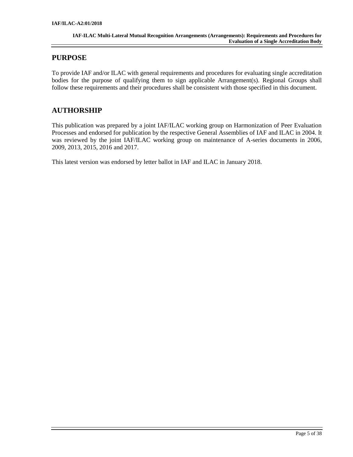# <span id="page-4-0"></span>**PURPOSE**

To provide IAF and/or ILAC with general requirements and procedures for evaluating single accreditation bodies for the purpose of qualifying them to sign applicable Arrangement(s). Regional Groups shall follow these requirements and their procedures shall be consistent with those specified in this document.

# <span id="page-4-1"></span>**AUTHORSHIP**

This publication was prepared by a joint IAF/ILAC working group on Harmonization of Peer Evaluation Processes and endorsed for publication by the respective General Assemblies of IAF and ILAC in 2004. It was reviewed by the joint IAF/ILAC working group on maintenance of A-series documents in 2006, 2009, 2013, 2015, 2016 and 2017.

This latest version was endorsed by letter ballot in IAF and ILAC in January 2018.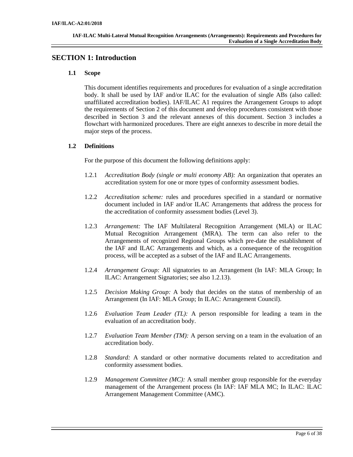# <span id="page-5-1"></span><span id="page-5-0"></span>**SECTION 1: Introduction**

## **1.1 Scope**

This document identifies requirements and procedures for evaluation of a single accreditation body. It shall be used by IAF and/or ILAC for the evaluation of single ABs (also called: unaffiliated accreditation bodies). IAF/ILAC A1 requires the Arrangement Groups to adopt the requirements of Section 2 of this document and develop procedures consistent with those described in Section 3 and the relevant annexes of this document. Section 3 includes a flowchart with harmonized procedures. There are eight annexes to describe in more detail the major steps of the process.

# <span id="page-5-2"></span>**1.2 Definitions**

For the purpose of this document the following definitions apply:

- 1.2.1 *Accreditation Body (single or multi economy AB):* An organization that operates an accreditation system for one or more types of conformity assessment bodies.
- 1.2.2 *Accreditation scheme:* rules and procedures specified in a standard or normative document included in IAF and/or ILAC Arrangements that address the process for the accreditation of conformity assessment bodies (Level 3).
- 1.2.3 *Arrangement:* The IAF Multilateral Recognition Arrangement (MLA) or ILAC Mutual Recognition Arrangement (MRA). The term can also refer to the Arrangements of recognized Regional Groups which pre-date the establishment of the IAF and ILAC Arrangements and which, as a consequence of the recognition process, will be accepted as a subset of the IAF and ILAC Arrangements.
- 1.2.4 *Arrangement Group:* All signatories to an Arrangement (In IAF: MLA Group; In ILAC: Arrangement Signatories; see also 1.2.13).
- 1.2.5 *Decision Making Group:* A body that decides on the status of membership of an Arrangement (In IAF: MLA Group; In ILAC: Arrangement Council).
- 1.2.6 *Evaluation Team Leader (TL):* A person responsible for leading a team in the evaluation of an accreditation body.
- 1.2.7 *Evaluation Team Member (TM):* A person serving on a team in the evaluation of an accreditation body.
- 1.2.8 *Standard:* A standard or other normative documents related to accreditation and conformity assessment bodies.
- 1.2.9 *Management Committee (MC):* A small member group responsible for the everyday management of the Arrangement process (In IAF: IAF MLA MC; In ILAC: ILAC Arrangement Management Committee (AMC).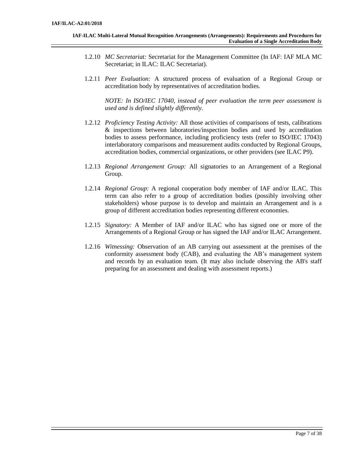- 1.2.10 *MC Secretariat:* Secretariat for the Management Committee (In IAF: IAF MLA MC Secretariat; in ILAC: ILAC Secretariat).
- 1.2.11 *Peer Evaluation:* A structured process of evaluation of a Regional Group or accreditation body by representatives of accreditation bodies.

*NOTE: In ISO/IEC 17040, instead of peer evaluation the term peer assessment is used and is defined slightly differently.*

- 1.2.12 *Proficiency Testing Activity:* All those activities of comparisons of tests, calibrations & inspections between laboratories/inspection bodies and used by accreditation bodies to assess performance, including proficiency tests (refer to ISO/IEC 17043) interlaboratory comparisons and measurement audits conducted by Regional Groups, accreditation bodies, commercial organizations, or other providers (see ILAC P9).
- 1.2.13 *Regional Arrangement Group:* All signatories to an Arrangement of a Regional Group.
- 1.2.14 *Regional Group:* A regional cooperation body member of IAF and/or ILAC. This term can also refer to a group of accreditation bodies (possibly involving other stakeholders) whose purpose is to develop and maintain an Arrangement and is a group of different accreditation bodies representing different economies.
- 1.2.15 *Signatory:* A Member of IAF and/or ILAC who has signed one or more of the Arrangements of a Regional Group or has signed the IAF and/or ILAC Arrangement.
- 1.2.16 *Witnessing:* Observation of an AB carrying out assessment at the premises of the conformity assessment body (CAB), and evaluating the AB's management system and records by an evaluation team. (It may also include observing the AB's staff preparing for an assessment and dealing with assessment reports.)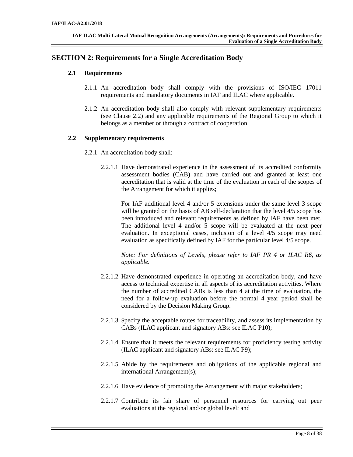# <span id="page-7-1"></span><span id="page-7-0"></span>**SECTION 2: Requirements for a Single Accreditation Body**

## **2.1 Requirements**

- 2.1.1 An accreditation body shall comply with the provisions of ISO/IEC 17011 requirements and mandatory documents in IAF and ILAC where applicable.
- 2.1.2 An accreditation body shall also comply with relevant supplementary requirements (see Clause 2.2) and any applicable requirements of the Regional Group to which it belongs as a member or through a contract of cooperation.

# <span id="page-7-2"></span>**2.2 Supplementary requirements**

- 2.2.1 An accreditation body shall:
	- 2.2.1.1 Have demonstrated experience in the assessment of its accredited conformity assessment bodies (CAB) and have carried out and granted at least one accreditation that is valid at the time of the evaluation in each of the scopes of the Arrangement for which it applies;

For IAF additional level 4 and/or 5 extensions under the same level 3 scope will be granted on the basis of AB self-declaration that the level 4/5 scope has been introduced and relevant requirements as defined by IAF have been met. The additional level 4 and/or 5 scope will be evaluated at the next peer evaluation. In exceptional cases, inclusion of a level 4/5 scope may need evaluation as specifically defined by IAF for the particular level 4/5 scope.

*Note: For definitions of Levels, please refer to IAF PR 4 or ILAC R6, as applicable.*

- 2.2.1.2 Have demonstrated experience in operating an accreditation body, and have access to technical expertise in all aspects of its accreditation activities. Where the number of accredited CABs is less than 4 at the time of evaluation, the need for a follow-up evaluation before the normal 4 year period shall be considered by the Decision Making Group.
- 2.2.1.3 Specify the acceptable routes for traceability, and assess its implementation by CABs (ILAC applicant and signatory ABs: see ILAC P10);
- 2.2.1.4 Ensure that it meets the relevant requirements for proficiency testing activity (ILAC applicant and signatory ABs: see ILAC P9);
- 2.2.1.5 Abide by the requirements and obligations of the applicable regional and international Arrangement(s);
- 2.2.1.6 Have evidence of promoting the Arrangement with major stakeholders;
- 2.2.1.7 Contribute its fair share of personnel resources for carrying out peer evaluations at the regional and/or global level; and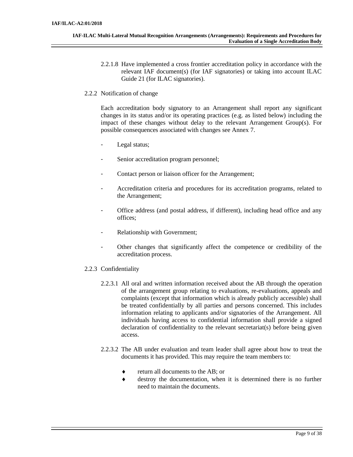2.2.1.8 Have implemented a cross frontier accreditation policy in accordance with the relevant IAF document(s) (for IAF signatories) or taking into account ILAC Guide 21 (for ILAC signatories).

## 2.2.2 Notification of change

Each accreditation body signatory to an Arrangement shall report any significant changes in its status and/or its operating practices (e.g. as listed below) including the impact of these changes without delay to the relevant Arrangement Group(s). For possible consequences associated with changes see Annex 7.

- Legal status;
- Senior accreditation program personnel;
- Contact person or liaison officer for the Arrangement;
- Accreditation criteria and procedures for its accreditation programs, related to the Arrangement;
- Office address (and postal address, if different), including head office and any offices;
- Relationship with Government;
- Other changes that significantly affect the competence or credibility of the accreditation process.
- 2.2.3 Confidentiality
	- 2.2.3.1 All oral and written information received about the AB through the operation of the arrangement group relating to evaluations, re-evaluations, appeals and complaints (except that information which is already publicly accessible) shall be treated confidentially by all parties and persons concerned. This includes information relating to applicants and/or signatories of the Arrangement. All individuals having access to confidential information shall provide a signed declaration of confidentiality to the relevant secretariat(s) before being given access.
	- 2.2.3.2 The AB under evaluation and team leader shall agree about how to treat the documents it has provided. This may require the team members to:
		- ◆ return all documents to the AB; or
		- destroy the documentation, when it is determined there is no further need to maintain the documents.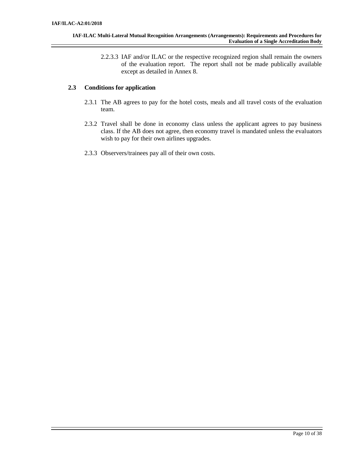2.2.3.3 IAF and/or ILAC or the respective recognized region shall remain the owners of the evaluation report. The report shall not be made publically available except as detailed in Annex 8.

# <span id="page-9-0"></span>**2.3 Conditions for application**

- 2.3.1 The AB agrees to pay for the hotel costs, meals and all travel costs of the evaluation team.
- 2.3.2 Travel shall be done in economy class unless the applicant agrees to pay business class. If the AB does not agree, then economy travel is mandated unless the evaluators wish to pay for their own airlines upgrades.
- 2.3.3 Observers/trainees pay all of their own costs.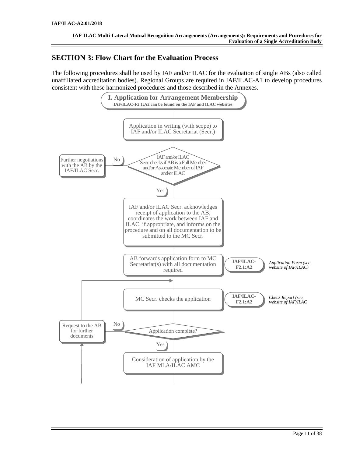# <span id="page-10-0"></span>**SECTION 3: Flow Chart for the Evaluation Process**

The following procedures shall be used by IAF and/or ILAC for the evaluation of single ABs (also called unaffiliated accreditation bodies). Regional Groups are required in IAF/ILAC-A1 to develop procedures consistent with these harmonized procedures and those described in the Annexes.

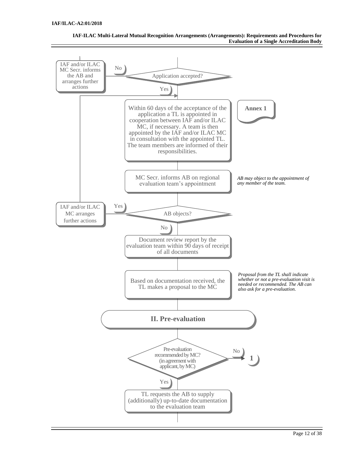

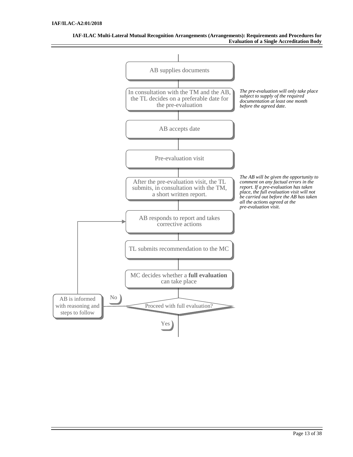

**IAF-ILAC Multi-Lateral Mutual Recognition Arrangements (Arrangements): Requirements and Procedures for Evaluation of a Single Accreditation Body**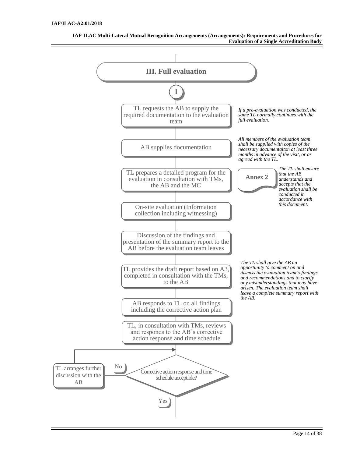

**IAF-ILAC Multi-Lateral Mutual Recognition Arrangements (Arrangements): Requirements and Procedures for Evaluation of a Single Accreditation Body**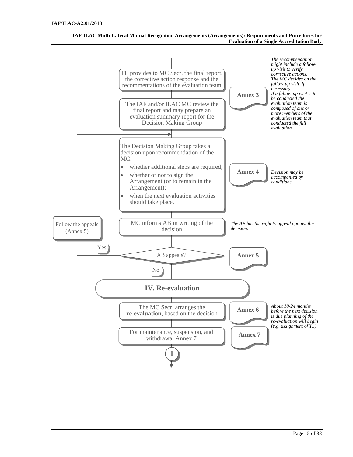

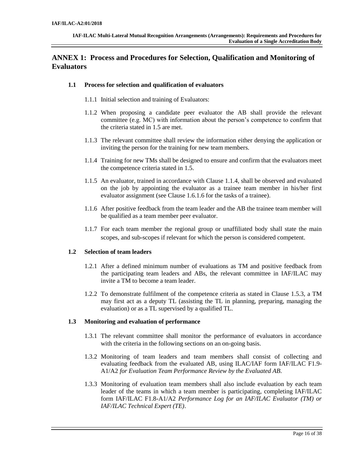# <span id="page-15-0"></span>**ANNEX 1: Process and Procedures for Selection, Qualification and Monitoring of Evaluators**

## **1.1 Process for selection and qualification of evaluators**

- 1.1.1 Initial selection and training of Evaluators:
- 1.1.2 When proposing a candidate peer evaluator the AB shall provide the relevant committee (e.g. MC) with information about the person's competence to confirm that the criteria stated in 1.5 are met.
- 1.1.3 The relevant committee shall review the information either denying the application or inviting the person for the training for new team members.
- 1.1.4 Training for new TMs shall be designed to ensure and confirm that the evaluators meet the competence criteria stated in 1.5.
- 1.1.5 An evaluator, trained in accordance with Clause 1.1.4, shall be observed and evaluated on the job by appointing the evaluator as a trainee team member in his/her first evaluator assignment (see Clause 1.6.1.6 for the tasks of a trainee).
- 1.1.6 After positive feedback from the team leader and the AB the trainee team member will be qualified as a team member peer evaluator.
- 1.1.7 For each team member the regional group or unaffiliated body shall state the main scopes, and sub-scopes if relevant for which the person is considered competent.

## **1.2 Selection of team leaders**

- 1.2.1 After a defined minimum number of evaluations as TM and positive feedback from the participating team leaders and ABs, the relevant committee in IAF/ILAC may invite a TM to become a team leader.
- 1.2.2 To demonstrate fulfilment of the competence criteria as stated in Clause 1.5.3, a TM may first act as a deputy TL (assisting the TL in planning, preparing, managing the evaluation) or as a TL supervised by a qualified TL.

## **1.3 Monitoring and evaluation of performance**

- 1.3.1 The relevant committee shall monitor the performance of evaluators in accordance with the criteria in the following sections on an on-going basis.
- 1.3.2 Monitoring of team leaders and team members shall consist of collecting and evaluating feedback from the evaluated AB, using ILAC/IAF form IAF/ILAC F1.9- A1/A2 *for Evaluation Team Performance Review by the Evaluated AB*.
- 1.3.3 Monitoring of evaluation team members shall also include evaluation by each team leader of the teams in which a team member is participating, completing IAF/ILAC form IAF/ILAC F1.8-A1/A2 *Performance Log for an IAF/ILAC Evaluator (TM) or IAF/ILAC Technical Expert (TE)*.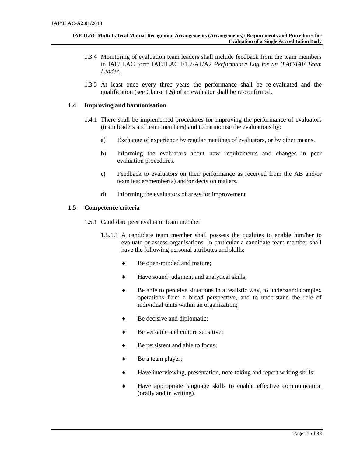- 1.3.4 Monitoring of evaluation team leaders shall include feedback from the team members in IAF/ILAC form IAF/ILAC F1.7-A1/A2 *Performance Log for an ILAC/IAF Team Leader*.
- 1.3.5 At least once every three years the performance shall be re-evaluated and the qualification (see Clause 1.5) of an evaluator shall be re-confirmed.

## **1.4 Improving and harmonisation**

- 1.4.1 There shall be implemented procedures for improving the performance of evaluators (team leaders and team members) and to harmonise the evaluations by:
	- a) Exchange of experience by regular meetings of evaluators, or by other means.
	- b) Informing the evaluators about new requirements and changes in peer evaluation procedures.
	- c) Feedback to evaluators on their performance as received from the AB and/or team leader/member(s) and/or decision makers.
	- d) Informing the evaluators of areas for improvement

# **1.5 Competence criteria**

- 1.5.1 Candidate peer evaluator team member
	- 1.5.1.1 A candidate team member shall possess the qualities to enable him/her to evaluate or assess organisations. In particular a candidate team member shall have the following personal attributes and skills:
		- Be open-minded and mature;
		- Have sound judgment and analytical skills;
		- $\bullet$  Be able to perceive situations in a realistic way, to understand complex operations from a broad perspective, and to understand the role of individual units within an organization;
		- ◆ Be decisive and diplomatic;
		- ◆ Be versatile and culture sensitive:
		- ◆ Be persistent and able to focus;
		- ◆ Be a team player;
		- Have interviewing, presentation, note-taking and report writing skills;
		- Have appropriate language skills to enable effective communication (orally and in writing).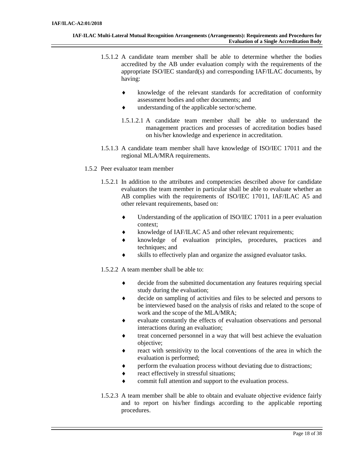- 1.5.1.2 A candidate team member shall be able to determine whether the bodies accredited by the AB under evaluation comply with the requirements of the appropriate ISO/IEC standard(s) and corresponding IAF/ILAC documents, by having:
	- knowledge of the relevant standards for accreditation of conformity assessment bodies and other documents; and
	- understanding of the applicable sector/scheme.
	- 1.5.1.2.1 A candidate team member shall be able to understand the management practices and processes of accreditation bodies based on his/her knowledge and experience in accreditation.
- 1.5.1.3 A candidate team member shall have knowledge of ISO/IEC 17011 and the regional MLA/MRA requirements.
- 1.5.2 Peer evaluator team member
	- 1.5.2.1 In addition to the attributes and competencies described above for candidate evaluators the team member in particular shall be able to evaluate whether an AB complies with the requirements of ISO/IEC 17011, IAF/ILAC A5 and other relevant requirements, based on:
		- Understanding of the application of ISO/IEC 17011 in a peer evaluation context;
		- knowledge of IAF/ILAC A5 and other relevant requirements;
		- knowledge of evaluation principles, procedures, practices and techniques; and
		- skills to effectively plan and organize the assigned evaluator tasks.

1.5.2.2 A team member shall be able to:

- decide from the submitted documentation any features requiring special study during the evaluation;
- decide on sampling of activities and files to be selected and persons to be interviewed based on the analysis of risks and related to the scope of work and the scope of the MLA/MRA;
- evaluate constantly the effects of evaluation observations and personal interactions during an evaluation;
- treat concerned personnel in a way that will best achieve the evaluation objective;
- react with sensitivity to the local conventions of the area in which the evaluation is performed;
- perform the evaluation process without deviating due to distractions;
- react effectively in stressful situations;
- commit full attention and support to the evaluation process.
- 1.5.2.3 A team member shall be able to obtain and evaluate objective evidence fairly and to report on his/her findings according to the applicable reporting procedures.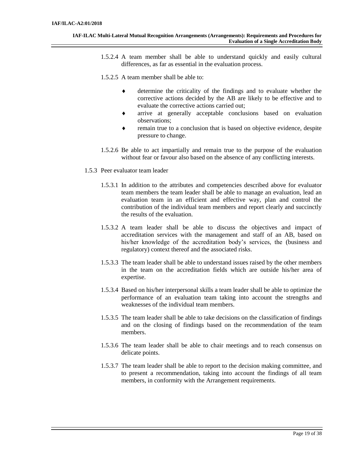- 1.5.2.4 A team member shall be able to understand quickly and easily cultural differences, as far as essential in the evaluation process.
- 1.5.2.5 A team member shall be able to:
	- determine the criticality of the findings and to evaluate whether the corrective actions decided by the AB are likely to be effective and to evaluate the corrective actions carried out;
	- arrive at generally acceptable conclusions based on evaluation observations;
	- remain true to a conclusion that is based on objective evidence, despite pressure to change.
- 1.5.2.6 Be able to act impartially and remain true to the purpose of the evaluation without fear or favour also based on the absence of any conflicting interests.
- 1.5.3 Peer evaluator team leader
	- 1.5.3.1 In addition to the attributes and competencies described above for evaluator team members the team leader shall be able to manage an evaluation, lead an evaluation team in an efficient and effective way, plan and control the contribution of the individual team members and report clearly and succinctly the results of the evaluation.
	- 1.5.3.2 A team leader shall be able to discuss the objectives and impact of accreditation services with the management and staff of an AB, based on his/her knowledge of the accreditation body's services, the (business and regulatory) context thereof and the associated risks.
	- 1.5.3.3 The team leader shall be able to understand issues raised by the other members in the team on the accreditation fields which are outside his/her area of expertise.
	- 1.5.3.4 Based on his/her interpersonal skills a team leader shall be able to optimize the performance of an evaluation team taking into account the strengths and weaknesses of the individual team members.
	- 1.5.3.5 The team leader shall be able to take decisions on the classification of findings and on the closing of findings based on the recommendation of the team members.
	- 1.5.3.6 The team leader shall be able to chair meetings and to reach consensus on delicate points.
	- 1.5.3.7 The team leader shall be able to report to the decision making committee, and to present a recommendation, taking into account the findings of all team members, in conformity with the Arrangement requirements.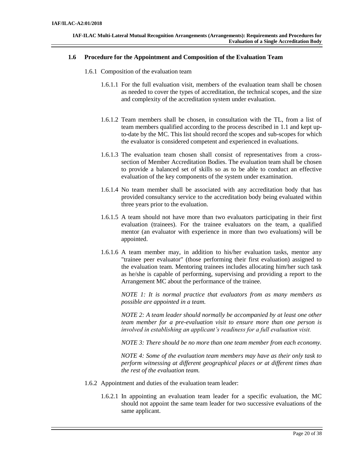#### **1.6 Procedure for the Appointment and Composition of the Evaluation Team**

- 1.6.1 Composition of the evaluation team
	- 1.6.1.1 For the full evaluation visit, members of the evaluation team shall be chosen as needed to cover the types of accreditation, the technical scopes, and the size and complexity of the accreditation system under evaluation.
	- 1.6.1.2 Team members shall be chosen, in consultation with the TL, from a list of team members qualified according to the process described in 1.1 and kept upto-date by the MC. This list should record the scopes and sub-scopes for which the evaluator is considered competent and experienced in evaluations.
	- 1.6.1.3 The evaluation team chosen shall consist of representatives from a crosssection of Member Accreditation Bodies. The evaluation team shall be chosen to provide a balanced set of skills so as to be able to conduct an effective evaluation of the key components of the system under examination.
	- 1.6.1.4 No team member shall be associated with any accreditation body that has provided consultancy service to the accreditation body being evaluated within three years prior to the evaluation.
	- 1.6.1.5 A team should not have more than two evaluators participating in their first evaluation (trainees). For the trainee evaluators on the team, a qualified mentor (an evaluator with experience in more than two evaluations) will be appointed.
	- 1.6.1.6 A team member may, in addition to his/her evaluation tasks, mentor any "trainee peer evaluator" (those performing their first evaluation) assigned to the evaluation team. Mentoring trainees includes allocating him/her such task as he/she is capable of performing, supervising and providing a report to the Arrangement MC about the performance of the trainee.

*NOTE 1: It is normal practice that evaluators from as many members as possible are appointed in a team.*

*NOTE 2: A team leader should normally be accompanied by at least one other team member for a pre-evaluation visit to ensure more than one person is involved in establishing an applicant's readiness for a full evaluation visit.*

*NOTE 3: There should be no more than one team member from each economy.*

*NOTE 4: Some of the evaluation team members may have as their only task to perform witnessing at different geographical places or at different times than the rest of the evaluation team.*

- 1.6.2 Appointment and duties of the evaluation team leader:
	- 1.6.2.1 In appointing an evaluation team leader for a specific evaluation, the MC should not appoint the same team leader for two successive evaluations of the same applicant.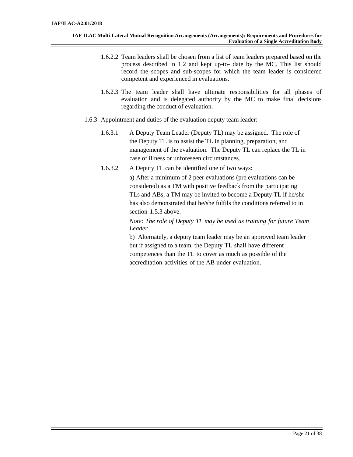- 1.6.2.2 Team leaders shall be chosen from a list of team leaders prepared based on the process described in 1.2 and kept up-to- date by the MC. This list should record the scopes and sub-scopes for which the team leader is considered competent and experienced in evaluations.
- 1.6.2.3 The team leader shall have ultimate responsibilities for all phases of evaluation and is delegated authority by the MC to make final decisions regarding the conduct of evaluation.
- 1.6.3 Appointment and duties of the evaluation deputy team leader:
	- 1.6.3.1 A Deputy Team Leader (Deputy TL) may be assigned. The role of the Deputy TL is to assist the TL in planning, preparation, and management of the evaluation. The Deputy TL can replace the TL in case of illness or unforeseen circumstances.
	- 1.6.3.2 A Deputy TL can be identified one of two ways: a) After a minimum of 2 peer evaluations (pre evaluations can be considered) as a TM with positive feedback from the participating TLs and ABs, a TM may be invited to become a Deputy TL if he/she has also demonstrated that he/she fulfils the conditions referred to in section 1.5.3 above.

*Note: The role of Deputy TL may be used as training for future Team Leader*

b) Alternately, a deputy team leader may be an approved team leader but if assigned to a team, the Deputy TL shall have different competences than the TL to cover as much as possible of the accreditation activities of the AB under evaluation.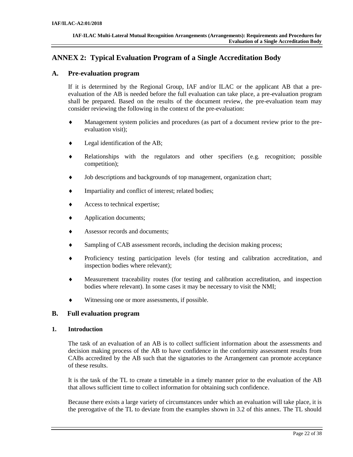# <span id="page-21-0"></span>**ANNEX 2: Typical Evaluation Program of a Single Accreditation Body**

# **A. Pre-evaluation program**

If it is determined by the Regional Group, IAF and/or ILAC or the applicant AB that a preevaluation of the AB is needed before the full evaluation can take place, a pre-evaluation program shall be prepared. Based on the results of the document review, the pre-evaluation team may consider reviewing the following in the context of the pre-evaluation:

- Management system policies and procedures (as part of a document review prior to the preevaluation visit);
- $\bullet$  Legal identification of the AB;
- Relationships with the regulators and other specifiers (e.g. recognition; possible competition);
- Job descriptions and backgrounds of top management, organization chart;
- Impartiality and conflict of interest; related bodies;
- ◆ Access to technical expertise;
- ◆ Application documents;
- Assessor records and documents;
- Sampling of CAB assessment records, including the decision making process;
- Proficiency testing participation levels (for testing and calibration accreditation, and inspection bodies where relevant);
- Measurement traceability routes (for testing and calibration accreditation, and inspection bodies where relevant). In some cases it may be necessary to visit the NMI;
- Witnessing one or more assessments, if possible.

# **B. Full evaluation program**

## **1. Introduction**

The task of an evaluation of an AB is to collect sufficient information about the assessments and decision making process of the AB to have confidence in the conformity assessment results from CABs accredited by the AB such that the signatories to the Arrangement can promote acceptance of these results.

It is the task of the TL to create a timetable in a timely manner prior to the evaluation of the AB that allows sufficient time to collect information for obtaining such confidence.

Because there exists a large variety of circumstances under which an evaluation will take place, it is the prerogative of the TL to deviate from the examples shown in 3.2 of this annex. The TL should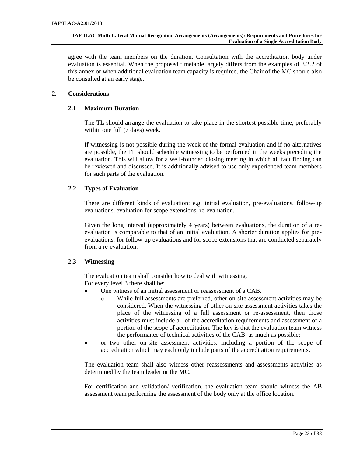agree with the team members on the duration. Consultation with the accreditation body under evaluation is essential. When the proposed timetable largely differs from the examples of 3.2.2 of this annex or when additional evaluation team capacity is required, the Chair of the MC should also be consulted at an early stage.

# **2. Considerations**

# **2.1 Maximum Duration**

The TL should arrange the evaluation to take place in the shortest possible time, preferably within one full (7 days) week.

If witnessing is not possible during the week of the formal evaluation and if no alternatives are possible, the TL should schedule witnessing to be performed in the weeks preceding the evaluation. This will allow for a well-founded closing meeting in which all fact finding can be reviewed and discussed. It is additionally advised to use only experienced team members for such parts of the evaluation.

# **2.2 Types of Evaluation**

There are different kinds of evaluation: e.g. initial evaluation, pre-evaluations, follow-up evaluations, evaluation for scope extensions, re-evaluation.

Given the long interval (approximately 4 years) between evaluations, the duration of a reevaluation is comparable to that of an initial evaluation. A shorter duration applies for preevaluations, for follow-up evaluations and for scope extensions that are conducted separately from a re-evaluation.

## **2.3 Witnessing**

The evaluation team shall consider how to deal with witnessing. For every level 3 there shall be:

- · One witness of an initial assessment or reassessment of a CAB.
	- o While full assessments are preferred, other on-site assessment activities may be considered. When the witnessing of other on-site assessment activities takes the place of the witnessing of a full assessment or re-assessment, then those activities must include all of the accreditation requirements and assessment of a portion of the scope of accreditation. The key is that the evaluation team witness the performance of technical activities of the CAB as much as possible;
- · or two other on-site assessment activities, including a portion of the scope of accreditation which may each only include parts of the accreditation requirements.

The evaluation team shall also witness other reassessments and assessments activities as determined by the team leader or the MC.

For certification and validation/ verification, the evaluation team should witness the AB assessment team performing the assessment of the body only at the office location.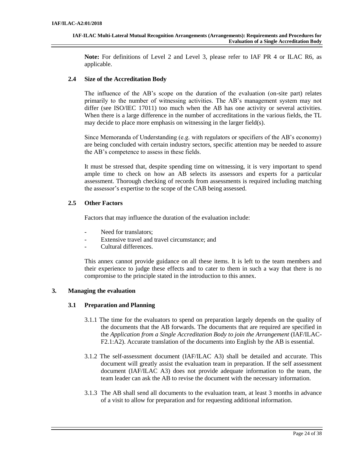**Note:** For definitions of Level 2 and Level 3, please refer to IAF PR 4 or ILAC R6, as applicable.

# **2.4 Size of the Accreditation Body**

The influence of the AB's scope on the duration of the evaluation (on-site part) relates primarily to the number of witnessing activities. The AB's management system may not differ (see ISO/IEC 17011) too much when the AB has one activity or several activities. When there is a large difference in the number of accreditations in the various fields, the TL may decide to place more emphasis on witnessing in the larger field(s).

Since Memoranda of Understanding (e.g. with regulators or specifiers of the AB's economy) are being concluded with certain industry sectors, specific attention may be needed to assure the AB's competence to assess in these fields.

It must be stressed that, despite spending time on witnessing, it is very important to spend ample time to check on how an AB selects its assessors and experts for a particular assessment. Thorough checking of records from assessments is required including matching the assessor's expertise to the scope of the CAB being assessed.

# **2.5 Other Factors**

Factors that may influence the duration of the evaluation include:

- Need for translators:
- Extensive travel and travel circumstance; and
- Cultural differences.

This annex cannot provide guidance on all these items. It is left to the team members and their experience to judge these effects and to cater to them in such a way that there is no compromise to the principle stated in the introduction to this annex.

# **3. Managing the evaluation**

## **3.1 Preparation and Planning**

- 3.1.1 The time for the evaluators to spend on preparation largely depends on the quality of the documents that the AB forwards. The documents that are required are specified in the *Application from a Single Accreditation Body to join the Arrangement* (IAF/ILAC-F2.1:A2). Accurate translation of the documents into English by the AB is essential.
- 3.1.2 The self-assessment document (IAF/ILAC A3) shall be detailed and accurate. This document will greatly assist the evaluation team in preparation. If the self assessment document (IAF/ILAC A3) does not provide adequate information to the team, the team leader can ask the AB to revise the document with the necessary information.
- 3.1.3 The AB shall send all documents to the evaluation team, at least 3 months in advance of a visit to allow for preparation and for requesting additional information.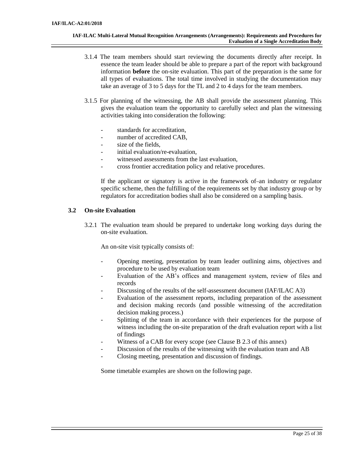- 3.1.4 The team members should start reviewing the documents directly after receipt. In essence the team leader should be able to prepare a part of the report with background information **before** the on-site evaluation. This part of the preparation is the same for all types of evaluations. The total time involved in studying the documentation may take an average of 3 to 5 days for the TL and 2 to 4 days for the team members.
- 3.1.5 For planning of the witnessing, the AB shall provide the assessment planning. This gives the evaluation team the opportunity to carefully select and plan the witnessing activities taking into consideration the following:
	- standards for accreditation,
	- number of accredited CAB,
	- size of the fields,
	- initial evaluation/re-evaluation,
	- witnessed assessments from the last evaluation,
	- cross frontier accreditation policy and relative procedures.

If the applicant or signatory is active in the framework of-an industry or regulator specific scheme, then the fulfilling of the requirements set by that industry group or by regulators for accreditation bodies shall also be considered on a sampling basis.

# **3.2 On-site Evaluation**

3.2.1 The evaluation team should be prepared to undertake long working days during the on-site evaluation.

An on-site visit typically consists of:

- Opening meeting, presentation by team leader outlining aims, objectives and procedure to be used by evaluation team
- Evaluation of the AB's offices and management system, review of files and records
- Discussing of the results of the self-assessment document (IAF/ILAC A3)
- Evaluation of the assessment reports, including preparation of the assessment and decision making records (and possible witnessing of the accreditation decision making process.)
- Splitting of the team in accordance with their experiences for the purpose of witness including the on-site preparation of the draft evaluation report with a list of findings
- Witness of a CAB for every scope (see Clause B 2.3 of this annex)
- Discussion of the results of the witnessing with the evaluation team and AB
- Closing meeting, presentation and discussion of findings.

Some timetable examples are shown on the following page.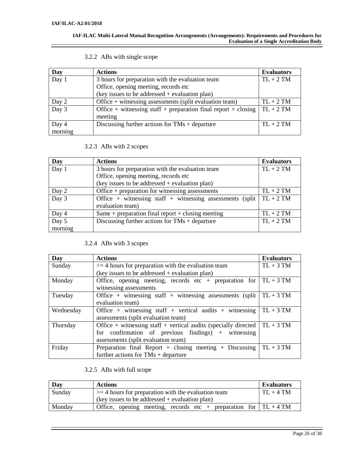#### **IAF-ILAC Multi-Lateral Mutual Recognition Arrangements (Arrangements): Requirements and Procedures for Evaluation of a Single Accreditation Body**

| Day     | <b>Actions</b>                                                 | <b>Evaluators</b> |
|---------|----------------------------------------------------------------|-------------------|
| Day 1   | 3 hours for preparation with the evaluation team               | $TL + 2 TM$       |
|         | Office, opening meeting, records etc                           |                   |
|         | (key issues to be addressed + evaluation plan)                 |                   |
| Day 2   | Office $+$ witnessing assessments (split evaluation team)      | $TL + 2 TM$       |
| Day 3   | Office + witnessing staff + preparation final report + closing | $TL + 2 TM$       |
|         | meeting                                                        |                   |
| Day 4   | Discussing further actions for $TMs + departure$               | $TL + 2 TM$       |
| morning |                                                                |                   |

# 3.2.2 ABs with single scope

# 3.2.3 ABs with 2 scopes

| Day     | <b>Actions</b>                                                        | <b>Evaluators</b> |
|---------|-----------------------------------------------------------------------|-------------------|
| Day 1   | 3 hours for preparation with the evaluation team                      | $TL + 2 TM$       |
|         | Office, opening meeting, records etc                                  |                   |
|         | (key issues to be addressed + evaluation plan)                        |                   |
| Day 2   | Office $+$ preparation for witnessing assessments                     | $TL + 2 TM$       |
| Day 3   | Office + witnessing staff + witnessing assessments (split $TL + 2 TM$ |                   |
|         | evaluation team)                                                      |                   |
| Day 4   | Same + preparation final report + closing meeting                     | $TL + 2 TM$       |
| Day 5   | Discussing further actions for $TMs + departure$                      | $TL + 2 TM$       |
| morning |                                                                       |                   |

# 3.2.4 ABs with 3 scopes

| Day       | <b>Actions</b>                                                                   | <b>Evaluators</b> |
|-----------|----------------------------------------------------------------------------------|-------------------|
| Sunday    | $>=$ 4 hours for preparation with the evaluation team                            | $TL + 3 TM$       |
|           | $(key$ issues to be addressed + evaluation plan)                                 |                   |
| Monday    | Office, opening meeting, records etc + preparation for                           | $TL + 3 TM$       |
|           | witnessing assessments                                                           |                   |
| Tuesday   | Office + witnessing staff + witnessing assessments (split)                       | $TL + 3 TM$       |
|           | evaluation team)                                                                 |                   |
| Wednesday | Office + witnessing staff + vertical audits + witnessing                         | $TL + 3 TM$       |
|           | assessments (split evaluation team)                                              |                   |
| Thursday  | Office + witnessing staff + vertical audits (specially directed $\mid TL + 3 TM$ |                   |
|           | for confirmation of previous findings) $+$ witnessing                            |                   |
|           | assessments (split evaluation team)                                              |                   |
| Friday    | Preparation final Report + closing meeting + Discussing $\vert$                  | $TL + 3 TM$       |
|           | further actions for $TMs + departure$                                            |                   |

# 3.2.5 ABs with full scope

| Day    | <b>Actions</b>                                                       | <b>Evaluators</b> |
|--------|----------------------------------------------------------------------|-------------------|
| Sunday | $\geq$ = 4 hours for preparation with the evaluation team            | $TL + 4 TM$       |
|        | (key issues to be addressed $+$ evaluation plan)                     |                   |
| Monday | Office, opening meeting, records etc + preparation for $ TL + 4 TM $ |                   |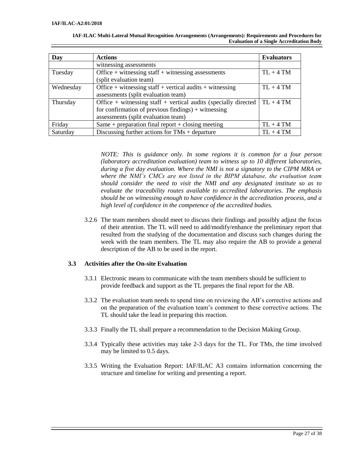| Day       | <b>Actions</b>                                                      | <b>Evaluators</b> |
|-----------|---------------------------------------------------------------------|-------------------|
|           | witnessing assessments                                              |                   |
| Tuesday   | Office $+$ witnessing staff $+$ witnessing assessments              | $TL + 4 TM$       |
|           | (split evaluation team)                                             |                   |
| Wednesday | Office + witnessing staff + vertical audits + witnessing            | $TL + 4 TM$       |
|           | assessments (split evaluation team)                                 |                   |
| Thursday  | Office $+$ witnessing staff $+$ vertical audits (specially directed | $TL + 4 TM$       |
|           | for confirmation of previous findings) $+$ witnessing               |                   |
|           | assessments (split evaluation team)                                 |                   |
| Friday    | Same + preparation final report + closing meeting                   | $TL + 4 TM$       |
| Saturday  | Discussing further actions for $TMs + departure$                    | $TL + 4 TM$       |

**IAF-ILAC Multi-Lateral Mutual Recognition Arrangements (Arrangements): Requirements and Procedures for Evaluation of a Single Accreditation Body**

> *NOTE: This is guidance only. In some regions it is common for a four person (laboratory accreditation evaluation) team to witness up to 10 different laboratories, during a five day evaluation. Where the NMI is not a signatory to the CIPM MRA or where the NMI's CMCs are not listed in the BIPM database, the evaluation team should consider the need to visit the NMI and any designated institute so as to evaluate the traceability routes available to accredited laboratories. The emphasis should be on witnessing enough to have confidence in the accreditation process, and a high level of confidence in the competence of the accredited bodies.*

3.2.6 The team members should meet to discuss their findings and possibly adjust the focus of their attention. The TL will need to add/modify/enhance the preliminary report that resulted from the studying of the documentation and discuss such changes during the week with the team members. The TL may also require the AB to provide a general description of the AB to be used in the report.

## **3.3 Activities after the On-site Evaluation**

- 3.3.1 Electronic means to communicate with the team members should be sufficient to provide feedback and support as the TL prepares the final report for the AB.
- 3.3.2 The evaluation team needs to spend time on reviewing the AB's corrective actions and on the preparation of the evaluation team's comment to these corrective actions. The TL should take the lead in preparing this reaction.
- 3.3.3 Finally the TL shall prepare a recommendation to the Decision Making Group.
- 3.3.4 Typically these activities may take 2-3 days for the TL. For TMs, the time involved may be limited to 0.5 days.
- 3.3.5 Writing the Evaluation Report: IAF/ILAC A3 contains information concerning the structure and timeline for writing and presenting a report.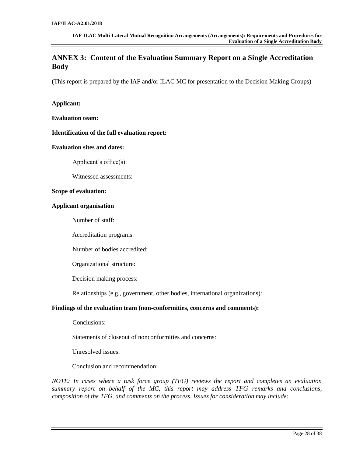# <span id="page-27-0"></span>**ANNEX 3: Content of the Evaluation Summary Report on a Single Accreditation Body**

(This report is prepared by the IAF and/or ILAC MC for presentation to the Decision Making Groups)

## **Applicant:**

**Evaluation team:**

#### **Identification of the full evaluation report:**

#### **Evaluation sites and dates:**

Applicant's office(s):

Witnessed assessments:

#### **Scope of evaluation:**

#### **Applicant organisation**

Number of staff:

Accreditation programs:

Number of bodies accredited:

Organizational structure:

Decision making process:

Relationships (e.g., government, other bodies, international organizations):

## **Findings of the evaluation team (non-conformities, concerns and comments):**

Conclusions:

Statements of closeout of nonconformities and concerns:

Unresolved issues:

Conclusion and recommendation:

*NOTE: In cases where a task force group (TFG) reviews the report and completes an evaluation summary report on behalf of the MC, this report may address TFG remarks and conclusions, composition of the TFG, and comments on the process. Issues for consideration may include:*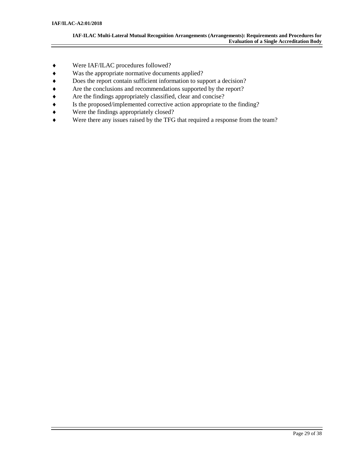- Were IAF/ILAC procedures followed?
- Was the appropriate normative documents applied?
- Does the report contain sufficient information to support a decision?
- Are the conclusions and recommendations supported by the report?
- Are the findings appropriately classified, clear and concise?
- Is the proposed/implemented corrective action appropriate to the finding?
- Were the findings appropriately closed?
- Were there any issues raised by the TFG that required a response from the team?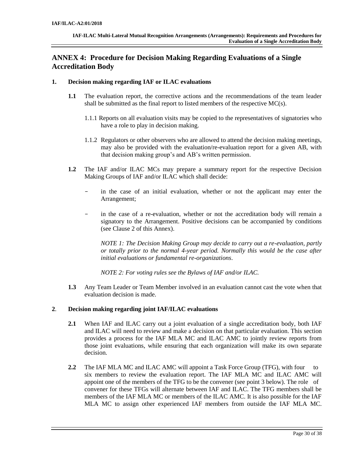# <span id="page-29-0"></span>**ANNEX 4: Procedure for Decision Making Regarding Evaluations of a Single Accreditation Body**

## **1. Decision making regarding IAF or ILAC evaluations**

- **1.1** The evaluation report, the corrective actions and the recommendations of the team leader shall be submitted as the final report to listed members of the respective  $MC(s)$ .
	- 1.1.1 Reports on all evaluation visits may be copied to the representatives of signatories who have a role to play in decision making.
	- 1.1.2 Regulators or other observers who are allowed to attend the decision making meetings, may also be provided with the evaluation/re-evaluation report for a given AB, with that decision making group's and AB's written permission.
- **1.2** The IAF and/or ILAC MCs may prepare a summary report for the respective Decision Making Groups of IAF and/or ILAC which shall decide:
	- in the case of an initial evaluation, whether or not the applicant may enter the Arrangement;
	- in the case of a re-evaluation, whether or not the accreditation body will remain a signatory to the Arrangement. Positive decisions can be accompanied by conditions (see Clause 2 of this Annex).

*NOTE 1: The Decision Making Group may decide to carry out a re-evaluation, partly or totally prior to the normal 4-year period. Normally this would be the case after initial evaluations or fundamental re-organizations*.

*NOTE 2: For voting rules see the Bylaws of IAF and/or ILAC.*

**1.3** Any Team Leader or Team Member involved in an evaluation cannot cast the vote when that evaluation decision is made.

# **2**. **Decision making regarding joint IAF/ILAC evaluations**

- **2.1** When IAF and ILAC carry out a joint evaluation of a single accreditation body, both IAF and ILAC will need to review and make a decision on that particular evaluation. This section provides a process for the IAF MLA MC and ILAC AMC to jointly review reports from those joint evaluations, while ensuring that each organization will make its own separate decision.
- **2.2** The IAF MLA MC and ILAC AMC will appoint a Task Force Group (TFG), with four to six members to review the evaluation report. The IAF MLA MC and ILAC AMC will appoint one of the members of the TFG to be the convener (see point 3 below). The role of convener for these TFGs will alternate between IAF and ILAC. The TFG members shall be members of the IAF MLA MC or members of the ILAC AMC. It is also possible for the IAF MLA MC to assign other experienced IAF members from outside the IAF MLA MC.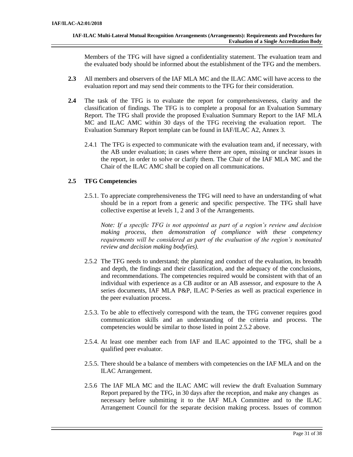Members of the TFG will have signed a confidentiality statement. The evaluation team and the evaluated body should be informed about the establishment of the TFG and the members.

- **2.3** All members and observers of the IAF MLA MC and the ILAC AMC will have access to the evaluation report and may send their comments to the TFG for their consideration.
- **2.4** The task of the TFG is to evaluate the report for comprehensiveness, clarity and the classification of findings. The TFG is to complete a proposal for an Evaluation Summary Report. The TFG shall provide the proposed Evaluation Summary Report to the IAF MLA MC and ILAC AMC within 30 days of the TFG receiving the evaluation report. The Evaluation Summary Report template can be found in IAF/ILAC A2, Annex 3.
	- 2.4.1 The TFG is expected to communicate with the evaluation team and, if necessary, with the AB under evaluation; in cases where there are open, missing or unclear issues in the report, in order to solve or clarify them. The Chair of the IAF MLA MC and the Chair of the ILAC AMC shall be copied on all communications.

# **2.5 TFG Competencies**

2.5.1. To appreciate comprehensiveness the TFG will need to have an understanding of what should be in a report from a generic and specific perspective. The TFG shall have collective expertise at levels 1, 2 and 3 of the Arrangements.

*Note: If a specific TFG is not appointed as part of a region's review and decision making process, then demonstration of compliance with these competency requirements will be considered as part of the evaluation of the region's nominated review and decision making body(ies).*

- 2.5.2 The TFG needs to understand; the planning and conduct of the evaluation, its breadth and depth, the findings and their classification, and the adequacy of the conclusions, and recommendations. The competencies required would be consistent with that of an individual with experience as a CB auditor or an AB assessor, and exposure to the A series documents, IAF MLA P&P, ILAC P-Series as well as practical experience in the peer evaluation process.
- 2.5.3. To be able to effectively correspond with the team, the TFG convener requires good communication skills and an understanding of the criteria and process. The competencies would be similar to those listed in point 2.5.2 above.
- 2.5.4. At least one member each from IAF and ILAC appointed to the TFG, shall be a qualified peer evaluator.
- 2.5.5. There should be a balance of members with competencies on the IAF MLA and on the ILAC Arrangement.
- 2.5.6 The IAF MLA MC and the ILAC AMC will review the draft Evaluation Summary Report prepared by the TFG, in 30 days after the reception, and make any changes as necessary before submitting it to the IAF MLA Committee and to the ILAC Arrangement Council for the separate decision making process. Issues of common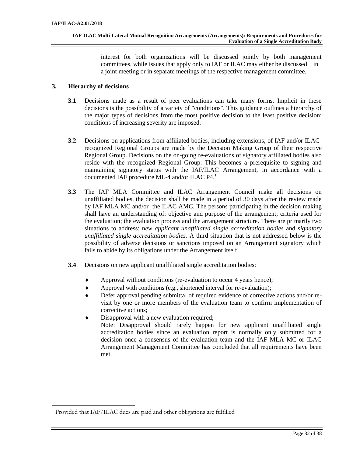interest for both organizations will be discussed jointly by both management committees, while issues that apply only to IAF or ILAC may either be discussed in a joint meeting or in separate meetings of the respective management committee.

# **3. Hierarchy of decisions**

- **3.1** Decisions made as a result of peer evaluations can take many forms. Implicit in these decisions is the possibility of a variety of "conditions". This guidance outlines a hierarchy of the major types of decisions from the most positive decision to the least positive decision; conditions of increasing severity are imposed.
- **3.2** Decisions on applications from affiliated bodies, including extensions, of IAF and/or ILACrecognized Regional Groups are made by the Decision Making Group of their respective Regional Group. Decisions on the on-going re-evaluations of signatory affiliated bodies also reside with the recognized Regional Group. This becomes a prerequisite to signing and maintaining signatory status with the IAF/ILAC Arrangement, in accordance with a documented IAF procedure ML-4 and/or ILAC P4. 1
- **3.3** The IAF MLA Committee and ILAC Arrangement Council make all decisions on unaffiliated bodies, the decision shall be made in a period of 30 days after the review made by IAF MLA MC and/or the ILAC AMC. The persons participating in the decision making shall have an understanding of: objective and purpose of the arrangement; criteria used for the evaluation; the evaluation process and the arrangement structure. There are primarily two situations to address: n*ew applicant unaffiliated single accreditation bodies* and s*ignatory unaffiliated single accreditation bodies.* A third situation that is not addressed below is the possibility of adverse decisions or sanctions imposed on an Arrangement signatory which fails to abide by its obligations under the Arrangement itself.
- **3.4** Decisions on new applicant unaffiliated single accreditation bodies:
	- Approval without conditions (re-evaluation to occur 4 years hence);
	- Approval with conditions (e.g., shortened interval for re-evaluation);
	- Defer approval pending submittal of required evidence of corrective actions and/or revisit by one or more members of the evaluation team to confirm implementation of corrective actions;
	- Disapproval with a new evaluation required; Note: Disapproval should rarely happen for new applicant unaffiliated single accreditation bodies since an evaluation report is normally only submitted for a decision once a consensus of the evaluation team and the IAF MLA MC or ILAC Arrangement Management Committee has concluded that all requirements have been met.

<sup>1</sup> Provided that IAF/ILAC dues are paid and other obligations are fulfilled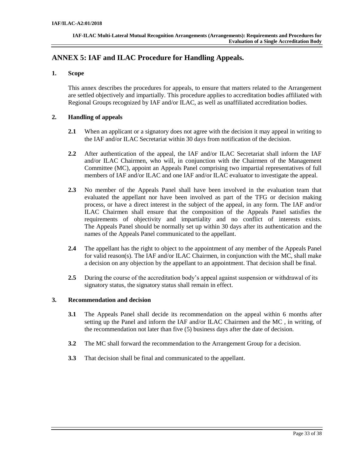# <span id="page-32-0"></span>**ANNEX 5: IAF and ILAC Procedure for Handling Appeals.**

# **1. Scope**

This annex describes the procedures for appeals, to ensure that matters related to the Arrangement are settled objectively and impartially. This procedure applies to accreditation bodies affiliated with Regional Groups recognized by IAF and/or ILAC, as well as unaffiliated accreditation bodies.

# **2. Handling of appeals**

- **2.1** When an applicant or a signatory does not agree with the decision it may appeal in writing to the IAF and/or ILAC Secretariat within 30 days from notification of the decision.
- **2.2** After authentication of the appeal, the IAF and/or ILAC Secretariat shall inform the IAF and/or ILAC Chairmen, who will, in conjunction with the Chairmen of the Management Committee (MC), appoint an Appeals Panel comprising two impartial representatives of full members of IAF and/or ILAC and one IAF and/or ILAC evaluator to investigate the appeal.
- **2.3** No member of the Appeals Panel shall have been involved in the evaluation team that evaluated the appellant nor have been involved as part of the TFG or decision making process, or have a direct interest in the subject of the appeal, in any form. The IAF and/or ILAC Chairmen shall ensure that the composition of the Appeals Panel satisfies the requirements of objectivity and impartiality and no conflict of interests exists. The Appeals Panel should be normally set up within 30 days after its authentication and the names of the Appeals Panel communicated to the appellant.
- **2.4** The appellant has the right to object to the appointment of any member of the Appeals Panel for valid reason(s). The IAF and/or ILAC Chairmen, in conjunction with the MC, shall make a decision on any objection by the appellant to an appointment. That decision shall be final.
- **2.5** During the course of the accreditation body's appeal against suspension or withdrawal of its signatory status, the signatory status shall remain in effect.

## **3. Recommendation and decision**

- **3.1** The Appeals Panel shall decide its recommendation on the appeal within 6 months after setting up the Panel and inform the IAF and/or ILAC Chairmen and the MC , in writing, of the recommendation not later than five (5) business days after the date of decision.
- **3.2** The MC shall forward the recommendation to the Arrangement Group for a decision.
- **3.3** That decision shall be final and communicated to the appellant.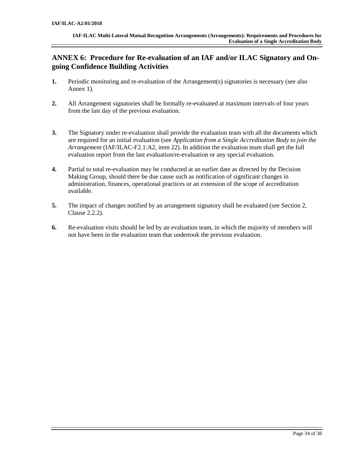# <span id="page-33-0"></span>**ANNEX 6: Procedure for Re-evaluation of an IAF and/or ILAC Signatory and Ongoing Confidence Building Activities**

- **1.** Periodic monitoring and re-evaluation of the Arrangement(s) signatories is necessary (see also Annex 1).
- **2.** All Arrangement signatories shall be formally re-evaluated at maximum intervals of four years from the last day of the previous evaluation.
- **3.** The Signatory under re-evaluation shall provide the evaluation team with all the documents which are required for an initial evaluation (see *Application from a Single Accreditation Body to join the Arrangement* (IAF/ILAC-F2.1:A2, item 22). In addition the evaluation team shall get the full evaluation report from the last evaluation/re-evaluation or any special evaluation.
- **4.** Partial to total re-evaluation may be conducted at an earlier date as directed by the Decision Making Group, should there be due cause such as notification of significant changes in administration, finances, operational practices or an extension of the scope of accreditation available.
- **5.** The impact of changes notified by an arrangement signatory shall be evaluated (see Section 2, Clause 2.2.2).
- **6.** Re-evaluation visits should be led by an evaluation team, in which the majority of members will not have been in the evaluation team that undertook the previous evaluation.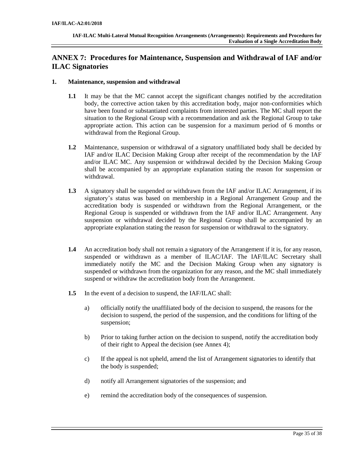# <span id="page-34-0"></span>**ANNEX 7: Procedures for Maintenance, Suspension and Withdrawal of IAF and/or ILAC Signatories**

## **1. Maintenance, suspension and withdrawal**

- **1.1** It may be that the MC cannot accept the significant changes notified by the accreditation body, the corrective action taken by this accreditation body, major non-conformities which have been found or substantiated complaints from interested parties. The MC shall report the situation to the Regional Group with a recommendation and ask the Regional Group to take appropriate action. This action can be suspension for a maximum period of 6 months or withdrawal from the Regional Group.
- **1.2** Maintenance, suspension or withdrawal of a signatory unaffiliated body shall be decided by IAF and/or ILAC Decision Making Group after receipt of the recommendation by the IAF and/or ILAC MC. Any suspension or withdrawal decided by the Decision Making Group shall be accompanied by an appropriate explanation stating the reason for suspension or withdrawal.
- **1.3** A signatory shall be suspended or withdrawn from the IAF and/or ILAC Arrangement, if its signatory's status was based on membership in a Regional Arrangement Group and the accreditation body is suspended or withdrawn from the Regional Arrangement, or the Regional Group is suspended or withdrawn from the IAF and/or ILAC Arrangement. Any suspension or withdrawal decided by the Regional Group shall be accompanied by an appropriate explanation stating the reason for suspension or withdrawal to the signatory.
- **1.4** An accreditation body shall not remain a signatory of the Arrangement if it is, for any reason, suspended or withdrawn as a member of ILAC/IAF. The IAF/ILAC Secretary shall immediately notify the MC and the Decision Making Group when any signatory is suspended or withdrawn from the organization for any reason, and the MC shall immediately suspend or withdraw the accreditation body from the Arrangement.
- **1.5** In the event of a decision to suspend, the IAF/ILAC shall:
	- a) officially notify the unaffiliated body of the decision to suspend, the reasons for the decision to suspend, the period of the suspension, and the conditions for lifting of the suspension;
	- b) Prior to taking further action on the decision to suspend, notify the accreditation body of their right to Appeal the decision (see Annex 4);
	- c) If the appeal is not upheld, amend the list of Arrangement signatories to identify that the body is suspended;
	- d) notify all Arrangement signatories of the suspension; and
	- e) remind the accreditation body of the consequences of suspension.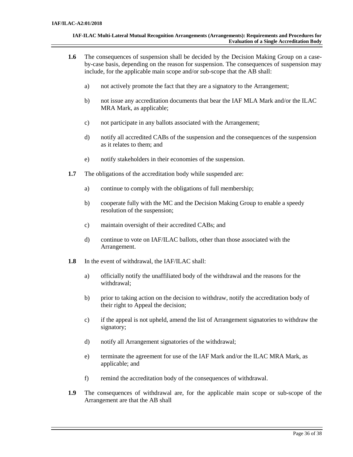- **1.6** The consequences of suspension shall be decided by the Decision Making Group on a caseby-case basis, depending on the reason for suspension. The consequences of suspension may include, for the applicable main scope and/or sub-scope that the AB shall:
	- a) not actively promote the fact that they are a signatory to the Arrangement;
	- b) not issue any accreditation documents that bear the IAF MLA Mark and/or the ILAC MRA Mark, as applicable;
	- c) not participate in any ballots associated with the Arrangement;
	- d) notify all accredited CABs of the suspension and the consequences of the suspension as it relates to them; and
	- e) notify stakeholders in their economies of the suspension.
- **1.7** The obligations of the accreditation body while suspended are:
	- a) continue to comply with the obligations of full membership;
	- b) cooperate fully with the MC and the Decision Making Group to enable a speedy resolution of the suspension;
	- c) maintain oversight of their accredited CABs; and
	- d) continue to vote on IAF/ILAC ballots, other than those associated with the Arrangement.
- **1.8** In the event of withdrawal, the IAF/ILAC shall:
	- a) officially notify the unaffiliated body of the withdrawal and the reasons for the withdrawal;
	- b) prior to taking action on the decision to withdraw, notify the accreditation body of their right to Appeal the decision;
	- c) if the appeal is not upheld, amend the list of Arrangement signatories to withdraw the signatory;
	- d) notify all Arrangement signatories of the withdrawal;
	- e) terminate the agreement for use of the IAF Mark and/or the ILAC MRA Mark, as applicable; and
	- f) remind the accreditation body of the consequences of withdrawal.
- **1.9** The consequences of withdrawal are, for the applicable main scope or sub-scope of the Arrangement are that the AB shall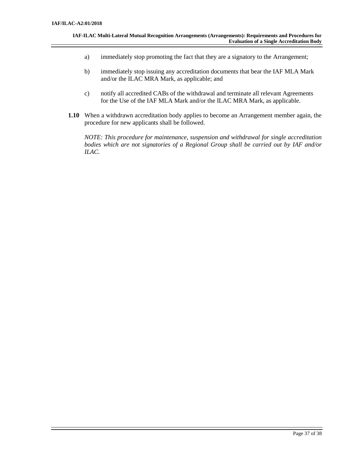- a) immediately stop promoting the fact that they are a signatory to the Arrangement;
- b) immediately stop issuing any accreditation documents that bear the IAF MLA Mark and/or the ILAC MRA Mark, as applicable; and
- c) notify all accredited CABs of the withdrawal and terminate all relevant Agreements for the Use of the IAF MLA Mark and/or the ILAC MRA Mark, as applicable.
- **1.10** When a withdrawn accreditation body applies to become an Arrangement member again, the procedure for new applicants shall be followed.

*NOTE: This procedure for maintenance, suspension and withdrawal for single accreditation bodies which are not signatories of a Regional Group shall be carried out by IAF and/or ILAC.*